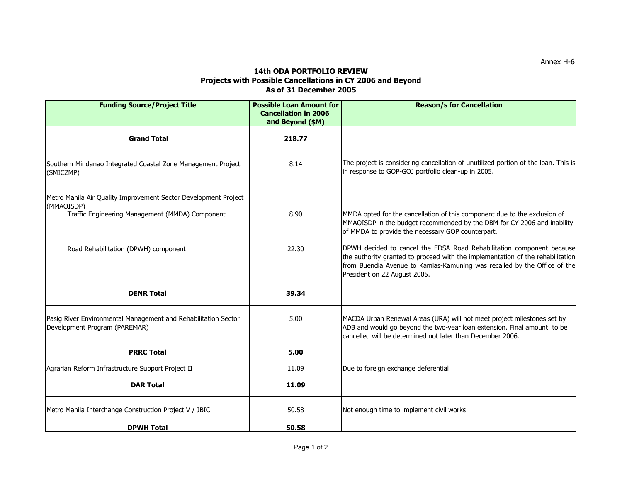## **14th ODA PORTFOLIO REVIEW Projects with Possible Cancellations in CY 2006 and Beyond As of 31 December 2005**

| <b>Funding Source/Project Title</b>                                                             | <b>Possible Loan Amount for</b><br><b>Cancellation in 2006</b><br>and Beyond (\$M) | <b>Reason/s for Cancellation</b>                                                                                                                                                                                                                                    |
|-------------------------------------------------------------------------------------------------|------------------------------------------------------------------------------------|---------------------------------------------------------------------------------------------------------------------------------------------------------------------------------------------------------------------------------------------------------------------|
| <b>Grand Total</b>                                                                              | 218.77                                                                             |                                                                                                                                                                                                                                                                     |
| Southern Mindanao Integrated Coastal Zone Management Project<br>(SMICZMP)                       | 8.14                                                                               | The project is considering cancellation of unutilized portion of the loan. This is<br>in response to GOP-GOJ portfolio clean-up in 2005.                                                                                                                            |
| Metro Manila Air Quality Improvement Sector Development Project                                 |                                                                                    |                                                                                                                                                                                                                                                                     |
| (MMAQISDP)<br>Traffic Engineering Management (MMDA) Component                                   | 8.90                                                                               | MMDA opted for the cancellation of this component due to the exclusion of<br>MMAQISDP in the budget recommended by the DBM for CY 2006 and inability<br>of MMDA to provide the necessary GOP counterpart.                                                           |
| Road Rehabilitation (DPWH) component                                                            | 22.30                                                                              | DPWH decided to cancel the EDSA Road Rehabilitation component because<br>the authority granted to proceed with the implementation of the rehabilitation<br>from Buendia Avenue to Kamias-Kamuning was recalled by the Office of the<br>President on 22 August 2005. |
| <b>DENR Total</b>                                                                               | 39.34                                                                              |                                                                                                                                                                                                                                                                     |
| Pasig River Environmental Management and Rehabilitation Sector<br>Development Program (PAREMAR) | 5.00                                                                               | MACDA Urban Renewal Areas (URA) will not meet project milestones set by<br>ADB and would go beyond the two-year loan extension. Final amount to be<br>cancelled will be determined not later than December 2006.                                                    |
| <b>PRRC Total</b>                                                                               | 5.00                                                                               |                                                                                                                                                                                                                                                                     |
| Agrarian Reform Infrastructure Support Project II                                               | 11.09                                                                              | Due to foreign exchange deferential                                                                                                                                                                                                                                 |
| <b>DAR Total</b>                                                                                | 11.09                                                                              |                                                                                                                                                                                                                                                                     |
| Metro Manila Interchange Construction Project V / JBIC                                          | 50.58                                                                              | Not enough time to implement civil works                                                                                                                                                                                                                            |
| <b>DPWH Total</b>                                                                               | 50.58                                                                              |                                                                                                                                                                                                                                                                     |